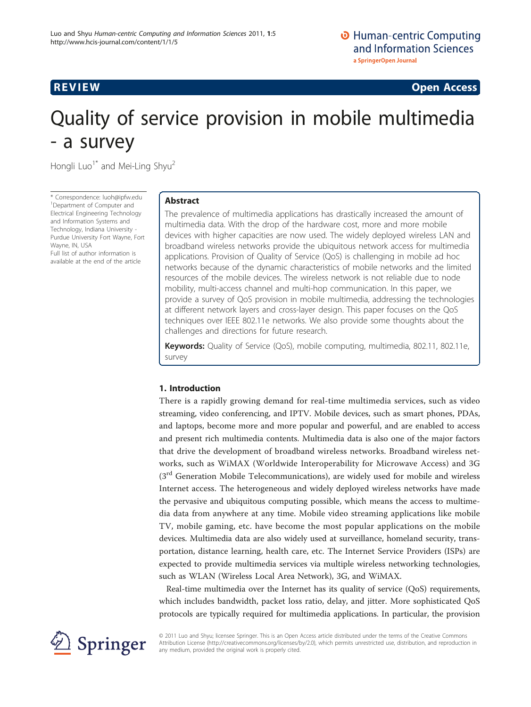**REVIEW CONSTRUCTION CONSTRUCTION CONSTRUCTS** 

# Quality of service provision in mobile multimedia - a survey

Hongli Luo<sup>1\*</sup> and Mei-Ling Shyu<sup>2</sup>

\* Correspondence: [luoh@ipfw.edu](mailto:luoh@ipfw.edu) <sup>1</sup>Department of Computer and Electrical Engineering Technology and Information Systems and Technology, Indiana University - Purdue University Fort Wayne, Fort Wayne, IN, USA Full list of author information is available at the end of the article

# Abstract

The prevalence of multimedia applications has drastically increased the amount of multimedia data. With the drop of the hardware cost, more and more mobile devices with higher capacities are now used. The widely deployed wireless LAN and broadband wireless networks provide the ubiquitous network access for multimedia applications. Provision of Quality of Service (QoS) is challenging in mobile ad hoc networks because of the dynamic characteristics of mobile networks and the limited resources of the mobile devices. The wireless network is not reliable due to node mobility, multi-access channel and multi-hop communication. In this paper, we provide a survey of QoS provision in mobile multimedia, addressing the technologies at different network layers and cross-layer design. This paper focuses on the QoS techniques over IEEE 802.11e networks. We also provide some thoughts about the challenges and directions for future research.

Keywords: Quality of Service (QoS), mobile computing, multimedia, 802.11, 802.11e, survey

# 1. Introduction

There is a rapidly growing demand for real-time multimedia services, such as video streaming, video conferencing, and IPTV. Mobile devices, such as smart phones, PDAs, and laptops, become more and more popular and powerful, and are enabled to access and present rich multimedia contents. Multimedia data is also one of the major factors that drive the development of broadband wireless networks. Broadband wireless networks, such as WiMAX (Worldwide Interoperability for Microwave Access) and 3G (3<sup>rd</sup> Generation Mobile Telecommunications), are widely used for mobile and wireless Internet access. The heterogeneous and widely deployed wireless networks have made the pervasive and ubiquitous computing possible, which means the access to multimedia data from anywhere at any time. Mobile video streaming applications like mobile TV, mobile gaming, etc. have become the most popular applications on the mobile devices. Multimedia data are also widely used at surveillance, homeland security, transportation, distance learning, health care, etc. The Internet Service Providers (ISPs) are expected to provide multimedia services via multiple wireless networking technologies, such as WLAN (Wireless Local Area Network), 3G, and WiMAX.

Real-time multimedia over the Internet has its quality of service (QoS) requirements, which includes bandwidth, packet loss ratio, delay, and jitter. More sophisticated QoS protocols are typically required for multimedia applications. In particular, the provision



© 2011 Luo and Shyu; licensee Springer. This is an Open Access article distributed under the terms of the Creative Commons Attribution License [\(http://creativecommons.org/licenses/by/2.0](http://creativecommons.org/licenses/by/2.0)), which permits unrestricted use, distribution, and reproduction in any medium, provided the original work is properly cited.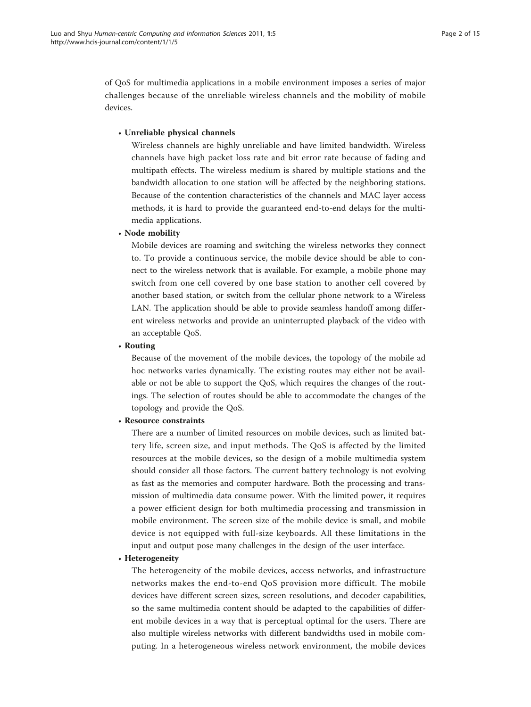of QoS for multimedia applications in a mobile environment imposes a series of major challenges because of the unreliable wireless channels and the mobility of mobile devices.

# • Unreliable physical channels

Wireless channels are highly unreliable and have limited bandwidth. Wireless channels have high packet loss rate and bit error rate because of fading and multipath effects. The wireless medium is shared by multiple stations and the bandwidth allocation to one station will be affected by the neighboring stations. Because of the contention characteristics of the channels and MAC layer access methods, it is hard to provide the guaranteed end-to-end delays for the multimedia applications.

# • Node mobility

Mobile devices are roaming and switching the wireless networks they connect to. To provide a continuous service, the mobile device should be able to connect to the wireless network that is available. For example, a mobile phone may switch from one cell covered by one base station to another cell covered by another based station, or switch from the cellular phone network to a Wireless LAN. The application should be able to provide seamless handoff among different wireless networks and provide an uninterrupted playback of the video with an acceptable QoS.

# • Routing

Because of the movement of the mobile devices, the topology of the mobile ad hoc networks varies dynamically. The existing routes may either not be available or not be able to support the QoS, which requires the changes of the routings. The selection of routes should be able to accommodate the changes of the topology and provide the QoS.

# • Resource constraints

There are a number of limited resources on mobile devices, such as limited battery life, screen size, and input methods. The QoS is affected by the limited resources at the mobile devices, so the design of a mobile multimedia system should consider all those factors. The current battery technology is not evolving as fast as the memories and computer hardware. Both the processing and transmission of multimedia data consume power. With the limited power, it requires a power efficient design for both multimedia processing and transmission in mobile environment. The screen size of the mobile device is small, and mobile device is not equipped with full-size keyboards. All these limitations in the input and output pose many challenges in the design of the user interface.

# • Heterogeneity

The heterogeneity of the mobile devices, access networks, and infrastructure networks makes the end-to-end QoS provision more difficult. The mobile devices have different screen sizes, screen resolutions, and decoder capabilities, so the same multimedia content should be adapted to the capabilities of different mobile devices in a way that is perceptual optimal for the users. There are also multiple wireless networks with different bandwidths used in mobile computing. In a heterogeneous wireless network environment, the mobile devices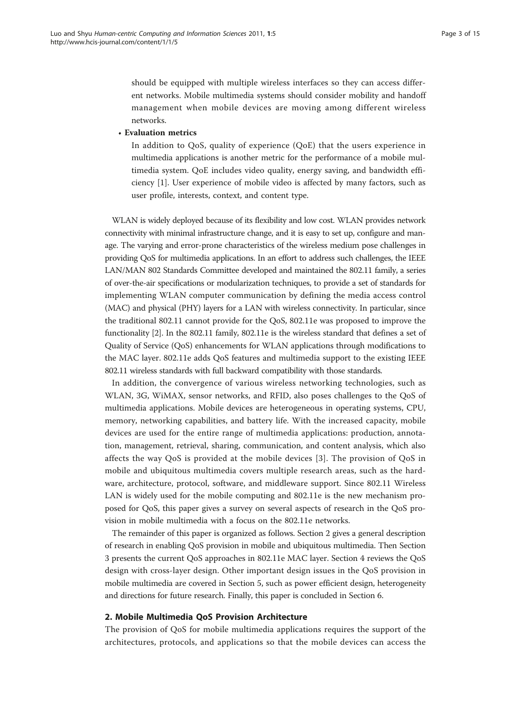should be equipped with multiple wireless interfaces so they can access different networks. Mobile multimedia systems should consider mobility and handoff management when mobile devices are moving among different wireless networks.

#### • Evaluation metrics

In addition to QoS, quality of experience (QoE) that the users experience in multimedia applications is another metric for the performance of a mobile multimedia system. QoE includes video quality, energy saving, and bandwidth efficiency [[1\]](#page-12-0). User experience of mobile video is affected by many factors, such as user profile, interests, context, and content type.

WLAN is widely deployed because of its flexibility and low cost. WLAN provides network connectivity with minimal infrastructure change, and it is easy to set up, configure and manage. The varying and error-prone characteristics of the wireless medium pose challenges in providing QoS for multimedia applications. In an effort to address such challenges, the IEEE LAN/MAN 802 Standards Committee developed and maintained the 802.11 family, a series of over-the-air specifications or modularization techniques, to provide a set of standards for implementing WLAN computer communication by defining the media access control (MAC) and physical (PHY) layers for a LAN with wireless connectivity. In particular, since the traditional 802.11 cannot provide for the QoS, 802.11e was proposed to improve the functionality [\[2](#page-12-0)]. In the 802.11 family, 802.11e is the wireless standard that defines a set of Quality of Service (QoS) enhancements for WLAN applications through modifications to the MAC layer. 802.11e adds QoS features and multimedia support to the existing IEEE 802.11 wireless standards with full backward compatibility with those standards.

In addition, the convergence of various wireless networking technologies, such as WLAN, 3G, WiMAX, sensor networks, and RFID, also poses challenges to the QoS of multimedia applications. Mobile devices are heterogeneous in operating systems, CPU, memory, networking capabilities, and battery life. With the increased capacity, mobile devices are used for the entire range of multimedia applications: production, annotation, management, retrieval, sharing, communication, and content analysis, which also affects the way QoS is provided at the mobile devices [[3\]](#page-12-0). The provision of QoS in mobile and ubiquitous multimedia covers multiple research areas, such as the hardware, architecture, protocol, software, and middleware support. Since 802.11 Wireless LAN is widely used for the mobile computing and 802.11e is the new mechanism proposed for QoS, this paper gives a survey on several aspects of research in the QoS provision in mobile multimedia with a focus on the 802.11e networks.

The remainder of this paper is organized as follows. Section 2 gives a general description of research in enabling QoS provision in mobile and ubiquitous multimedia. Then Section 3 presents the current QoS approaches in 802.11e MAC layer. Section 4 reviews the QoS design with cross-layer design. Other important design issues in the QoS provision in mobile multimedia are covered in Section 5, such as power efficient design, heterogeneity and directions for future research. Finally, this paper is concluded in Section 6.

#### 2. Mobile Multimedia QoS Provision Architecture

The provision of QoS for mobile multimedia applications requires the support of the architectures, protocols, and applications so that the mobile devices can access the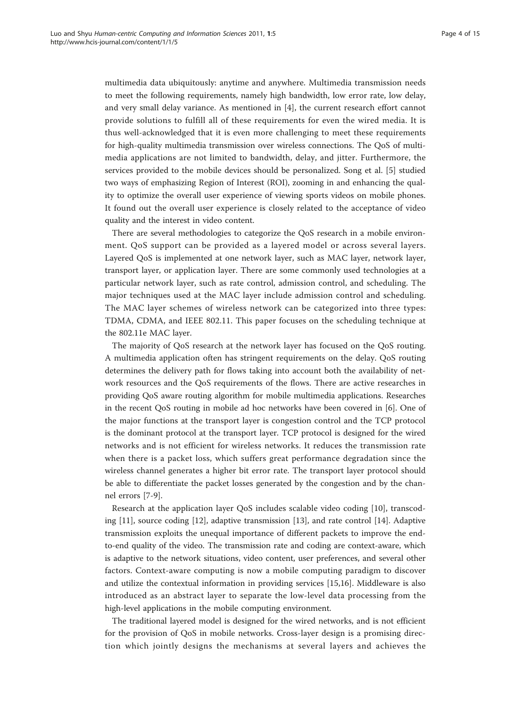multimedia data ubiquitously: anytime and anywhere. Multimedia transmission needs to meet the following requirements, namely high bandwidth, low error rate, low delay, and very small delay variance. As mentioned in [\[4](#page-12-0)], the current research effort cannot provide solutions to fulfill all of these requirements for even the wired media. It is thus well-acknowledged that it is even more challenging to meet these requirements for high-quality multimedia transmission over wireless connections. The QoS of multimedia applications are not limited to bandwidth, delay, and jitter. Furthermore, the services provided to the mobile devices should be personalized. Song et al. [\[5](#page-12-0)] studied two ways of emphasizing Region of Interest (ROI), zooming in and enhancing the quality to optimize the overall user experience of viewing sports videos on mobile phones. It found out the overall user experience is closely related to the acceptance of video quality and the interest in video content.

There are several methodologies to categorize the QoS research in a mobile environment. QoS support can be provided as a layered model or across several layers. Layered QoS is implemented at one network layer, such as MAC layer, network layer, transport layer, or application layer. There are some commonly used technologies at a particular network layer, such as rate control, admission control, and scheduling. The major techniques used at the MAC layer include admission control and scheduling. The MAC layer schemes of wireless network can be categorized into three types: TDMA, CDMA, and IEEE 802.11. This paper focuses on the scheduling technique at the 802.11e MAC layer.

The majority of QoS research at the network layer has focused on the QoS routing. A multimedia application often has stringent requirements on the delay. QoS routing determines the delivery path for flows taking into account both the availability of network resources and the QoS requirements of the flows. There are active researches in providing QoS aware routing algorithm for mobile multimedia applications. Researches in the recent QoS routing in mobile ad hoc networks have been covered in [\[6](#page-12-0)]. One of the major functions at the transport layer is congestion control and the TCP protocol is the dominant protocol at the transport layer. TCP protocol is designed for the wired networks and is not efficient for wireless networks. It reduces the transmission rate when there is a packet loss, which suffers great performance degradation since the wireless channel generates a higher bit error rate. The transport layer protocol should be able to differentiate the packet losses generated by the congestion and by the channel errors [[7-](#page-12-0)[9](#page-13-0)].

Research at the application layer QoS includes scalable video coding [[10\]](#page-13-0), transcoding [[11](#page-13-0)], source coding [[12](#page-13-0)], adaptive transmission [[13\]](#page-13-0), and rate control [\[14\]](#page-13-0). Adaptive transmission exploits the unequal importance of different packets to improve the endto-end quality of the video. The transmission rate and coding are context-aware, which is adaptive to the network situations, video content, user preferences, and several other factors. Context-aware computing is now a mobile computing paradigm to discover and utilize the contextual information in providing services [[15,16\]](#page-13-0). Middleware is also introduced as an abstract layer to separate the low-level data processing from the high-level applications in the mobile computing environment.

The traditional layered model is designed for the wired networks, and is not efficient for the provision of QoS in mobile networks. Cross-layer design is a promising direction which jointly designs the mechanisms at several layers and achieves the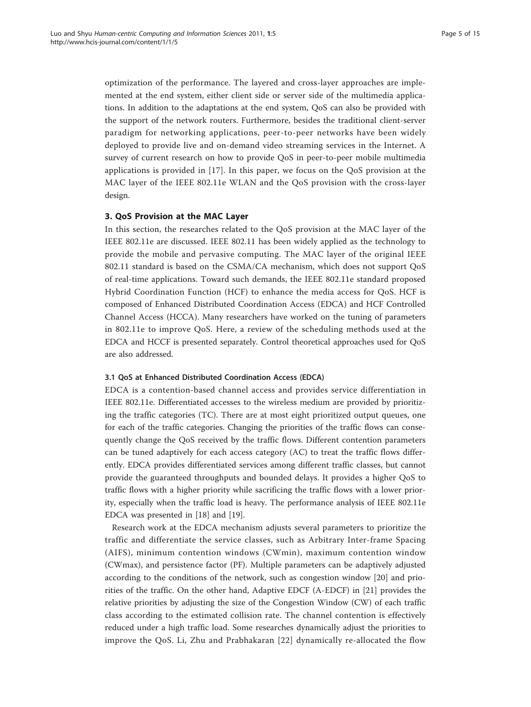optimization of the performance. The layered and cross-layer approaches are implemented at the end system, either client side or server side of the multimedia applications. In addition to the adaptations at the end system, QoS can also be provided with the support of the network routers. Furthermore, besides the traditional client-server paradigm for networking applications, peer-to-peer networks have been widely deployed to provide live and on-demand video streaming services in the Internet. A survey of current research on how to provide QoS in peer-to-peer mobile multimedia applications is provided in [\[17](#page-13-0)]. In this paper, we focus on the QoS provision at the MAC layer of the IEEE 802.11e WLAN and the QoS provision with the cross-layer design.

#### 3. QoS Provision at the MAC Layer

In this section, the researches related to the QoS provision at the MAC layer of the IEEE 802.11e are discussed. IEEE 802.11 has been widely applied as the technology to provide the mobile and pervasive computing. The MAC layer of the original IEEE 802.11 standard is based on the CSMA/CA mechanism, which does not support QoS of real-time applications. Toward such demands, the IEEE 802.11e standard proposed Hybrid Coordination Function (HCF) to enhance the media access for QoS. HCF is composed of Enhanced Distributed Coordination Access (EDCA) and HCF Controlled Channel Access (HCCA). Many researchers have worked on the tuning of parameters in 802.11e to improve QoS. Here, a review of the scheduling methods used at the EDCA and HCCF is presented separately. Control theoretical approaches used for QoS are also addressed.

#### 3.1 QoS at Enhanced Distributed Coordination Access (EDCA)

EDCA is a contention-based channel access and provides service differentiation in IEEE 802.11e. Differentiated accesses to the wireless medium are provided by prioritizing the traffic categories (TC). There are at most eight prioritized output queues, one for each of the traffic categories. Changing the priorities of the traffic flows can consequently change the QoS received by the traffic flows. Different contention parameters can be tuned adaptively for each access category (AC) to treat the traffic flows differently. EDCA provides differentiated services among different traffic classes, but cannot provide the guaranteed throughputs and bounded delays. It provides a higher QoS to traffic flows with a higher priority while sacrificing the traffic flows with a lower priority, especially when the traffic load is heavy. The performance analysis of IEEE 802.11e EDCA was presented in [\[18](#page-13-0)] and [[19\]](#page-13-0).

Research work at the EDCA mechanism adjusts several parameters to prioritize the traffic and differentiate the service classes, such as Arbitrary Inter-frame Spacing (AIFS), minimum contention windows (CWmin), maximum contention window (CWmax), and persistence factor (PF). Multiple parameters can be adaptively adjusted according to the conditions of the network, such as congestion window [[20](#page-13-0)] and priorities of the traffic. On the other hand, Adaptive EDCF (A-EDCF) in [\[21](#page-13-0)] provides the relative priorities by adjusting the size of the Congestion Window (CW) of each traffic class according to the estimated collision rate. The channel contention is effectively reduced under a high traffic load. Some researches dynamically adjust the priorities to improve the QoS. Li, Zhu and Prabhakaran [[22](#page-13-0)] dynamically re-allocated the flow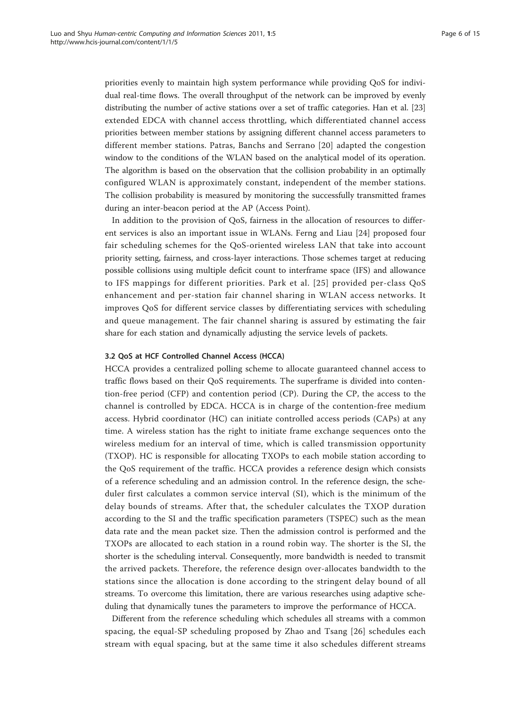priorities evenly to maintain high system performance while providing QoS for individual real-time flows. The overall throughput of the network can be improved by evenly distributing the number of active stations over a set of traffic categories. Han et al. [[23](#page-13-0)] extended EDCA with channel access throttling, which differentiated channel access priorities between member stations by assigning different channel access parameters to different member stations. Patras, Banchs and Serrano [[20\]](#page-13-0) adapted the congestion window to the conditions of the WLAN based on the analytical model of its operation. The algorithm is based on the observation that the collision probability in an optimally configured WLAN is approximately constant, independent of the member stations. The collision probability is measured by monitoring the successfully transmitted frames during an inter-beacon period at the AP (Access Point).

In addition to the provision of QoS, fairness in the allocation of resources to different services is also an important issue in WLANs. Ferng and Liau [\[24](#page-13-0)] proposed four fair scheduling schemes for the QoS-oriented wireless LAN that take into account priority setting, fairness, and cross-layer interactions. Those schemes target at reducing possible collisions using multiple deficit count to interframe space (IFS) and allowance to IFS mappings for different priorities. Park et al. [[25\]](#page-13-0) provided per-class QoS enhancement and per-station fair channel sharing in WLAN access networks. It improves QoS for different service classes by differentiating services with scheduling and queue management. The fair channel sharing is assured by estimating the fair share for each station and dynamically adjusting the service levels of packets.

#### 3.2 QoS at HCF Controlled Channel Access (HCCA)

HCCA provides a centralized polling scheme to allocate guaranteed channel access to traffic flows based on their QoS requirements. The superframe is divided into contention-free period (CFP) and contention period (CP). During the CP, the access to the channel is controlled by EDCA. HCCA is in charge of the contention-free medium access. Hybrid coordinator (HC) can initiate controlled access periods (CAPs) at any time. A wireless station has the right to initiate frame exchange sequences onto the wireless medium for an interval of time, which is called transmission opportunity (TXOP). HC is responsible for allocating TXOPs to each mobile station according to the QoS requirement of the traffic. HCCA provides a reference design which consists of a reference scheduling and an admission control. In the reference design, the scheduler first calculates a common service interval (SI), which is the minimum of the delay bounds of streams. After that, the scheduler calculates the TXOP duration according to the SI and the traffic specification parameters (TSPEC) such as the mean data rate and the mean packet size. Then the admission control is performed and the TXOPs are allocated to each station in a round robin way. The shorter is the SI, the shorter is the scheduling interval. Consequently, more bandwidth is needed to transmit the arrived packets. Therefore, the reference design over-allocates bandwidth to the stations since the allocation is done according to the stringent delay bound of all streams. To overcome this limitation, there are various researches using adaptive scheduling that dynamically tunes the parameters to improve the performance of HCCA.

Different from the reference scheduling which schedules all streams with a common spacing, the equal-SP scheduling proposed by Zhao and Tsang [[26\]](#page-13-0) schedules each stream with equal spacing, but at the same time it also schedules different streams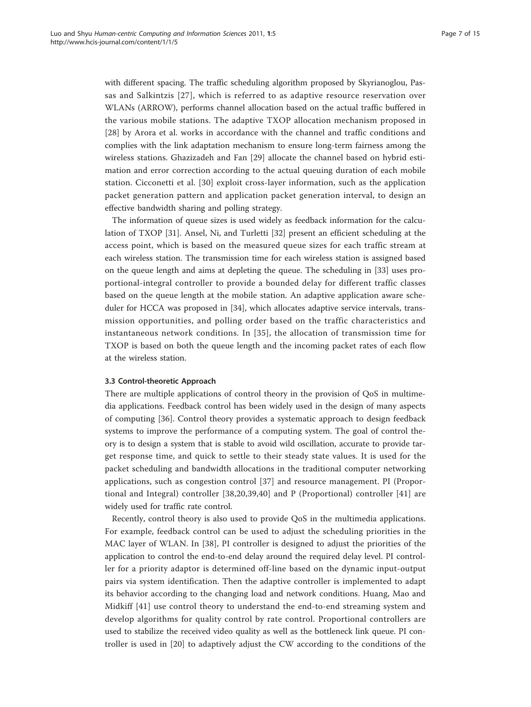with different spacing. The traffic scheduling algorithm proposed by Skyrianoglou, Passas and Salkintzis [[27](#page-13-0)], which is referred to as adaptive resource reservation over WLANs (ARROW), performs channel allocation based on the actual traffic buffered in the various mobile stations. The adaptive TXOP allocation mechanism proposed in [[28\]](#page-13-0) by Arora et al. works in accordance with the channel and traffic conditions and complies with the link adaptation mechanism to ensure long-term fairness among the wireless stations. Ghazizadeh and Fan [\[29](#page-13-0)] allocate the channel based on hybrid estimation and error correction according to the actual queuing duration of each mobile station. Cicconetti et al. [\[30](#page-13-0)] exploit cross-layer information, such as the application packet generation pattern and application packet generation interval, to design an effective bandwidth sharing and polling strategy.

The information of queue sizes is used widely as feedback information for the calculation of TXOP [[31](#page-13-0)]. Ansel, Ni, and Turletti [[32](#page-13-0)] present an efficient scheduling at the access point, which is based on the measured queue sizes for each traffic stream at each wireless station. The transmission time for each wireless station is assigned based on the queue length and aims at depleting the queue. The scheduling in [\[33](#page-13-0)] uses proportional-integral controller to provide a bounded delay for different traffic classes based on the queue length at the mobile station. An adaptive application aware scheduler for HCCA was proposed in [[34](#page-13-0)], which allocates adaptive service intervals, transmission opportunities, and polling order based on the traffic characteristics and instantaneous network conditions. In [[35\]](#page-13-0), the allocation of transmission time for TXOP is based on both the queue length and the incoming packet rates of each flow at the wireless station.

#### 3.3 Control-theoretic Approach

There are multiple applications of control theory in the provision of QoS in multimedia applications. Feedback control has been widely used in the design of many aspects of computing [[36\]](#page-13-0). Control theory provides a systematic approach to design feedback systems to improve the performance of a computing system. The goal of control theory is to design a system that is stable to avoid wild oscillation, accurate to provide target response time, and quick to settle to their steady state values. It is used for the packet scheduling and bandwidth allocations in the traditional computer networking applications, such as congestion control [\[37\]](#page-13-0) and resource management. PI (Proportional and Integral) controller [[38,20](#page-13-0),[39,40](#page-13-0)] and P (Proportional) controller [[41](#page-14-0)] are widely used for traffic rate control.

Recently, control theory is also used to provide QoS in the multimedia applications. For example, feedback control can be used to adjust the scheduling priorities in the MAC layer of WLAN. In [[38](#page-13-0)], PI controller is designed to adjust the priorities of the application to control the end-to-end delay around the required delay level. PI controller for a priority adaptor is determined off-line based on the dynamic input-output pairs via system identification. Then the adaptive controller is implemented to adapt its behavior according to the changing load and network conditions. Huang, Mao and Midkiff [[41\]](#page-14-0) use control theory to understand the end-to-end streaming system and develop algorithms for quality control by rate control. Proportional controllers are used to stabilize the received video quality as well as the bottleneck link queue. PI controller is used in [\[20](#page-13-0)] to adaptively adjust the CW according to the conditions of the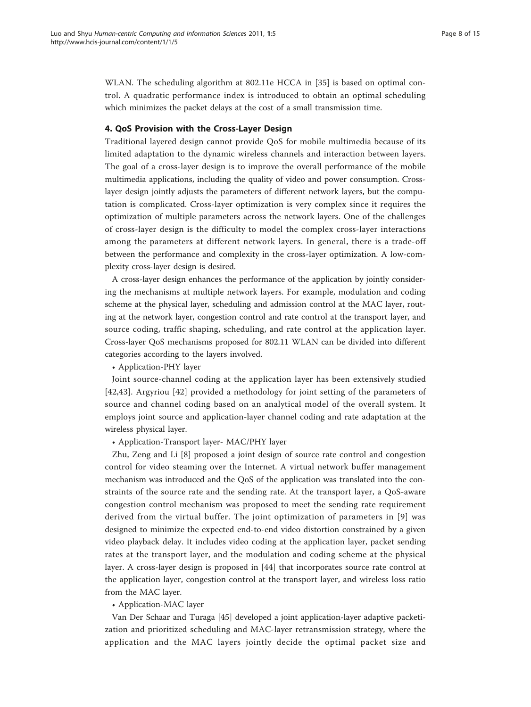WLAN. The scheduling algorithm at 802.11e HCCA in [[35\]](#page-13-0) is based on optimal control. A quadratic performance index is introduced to obtain an optimal scheduling which minimizes the packet delays at the cost of a small transmission time.

#### 4. QoS Provision with the Cross-Layer Design

Traditional layered design cannot provide QoS for mobile multimedia because of its limited adaptation to the dynamic wireless channels and interaction between layers. The goal of a cross-layer design is to improve the overall performance of the mobile multimedia applications, including the quality of video and power consumption. Crosslayer design jointly adjusts the parameters of different network layers, but the computation is complicated. Cross-layer optimization is very complex since it requires the optimization of multiple parameters across the network layers. One of the challenges of cross-layer design is the difficulty to model the complex cross-layer interactions among the parameters at different network layers. In general, there is a trade-off between the performance and complexity in the cross-layer optimization. A low-complexity cross-layer design is desired.

A cross-layer design enhances the performance of the application by jointly considering the mechanisms at multiple network layers. For example, modulation and coding scheme at the physical layer, scheduling and admission control at the MAC layer, routing at the network layer, congestion control and rate control at the transport layer, and source coding, traffic shaping, scheduling, and rate control at the application layer. Cross-layer QoS mechanisms proposed for 802.11 WLAN can be divided into different categories according to the layers involved.

• Application-PHY layer

Joint source-channel coding at the application layer has been extensively studied [[42,43](#page-14-0)]. Argyriou [[42](#page-14-0)] provided a methodology for joint setting of the parameters of source and channel coding based on an analytical model of the overall system. It employs joint source and application-layer channel coding and rate adaptation at the wireless physical layer.

# • Application-Transport layer- MAC/PHY layer

Zhu, Zeng and Li [[8](#page-13-0)] proposed a joint design of source rate control and congestion control for video steaming over the Internet. A virtual network buffer management mechanism was introduced and the QoS of the application was translated into the constraints of the source rate and the sending rate. At the transport layer, a QoS-aware congestion control mechanism was proposed to meet the sending rate requirement derived from the virtual buffer. The joint optimization of parameters in [[9\]](#page-13-0) was designed to minimize the expected end-to-end video distortion constrained by a given video playback delay. It includes video coding at the application layer, packet sending rates at the transport layer, and the modulation and coding scheme at the physical layer. A cross-layer design is proposed in [\[44](#page-14-0)] that incorporates source rate control at the application layer, congestion control at the transport layer, and wireless loss ratio from the MAC layer.

#### • Application-MAC layer

Van Der Schaar and Turaga [[45](#page-14-0)] developed a joint application-layer adaptive packetization and prioritized scheduling and MAC-layer retransmission strategy, where the application and the MAC layers jointly decide the optimal packet size and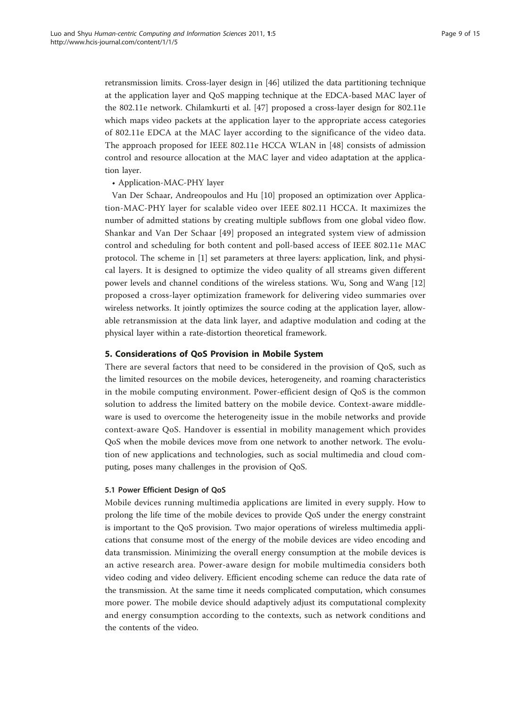retransmission limits. Cross-layer design in [\[46\]](#page-14-0) utilized the data partitioning technique at the application layer and QoS mapping technique at the EDCA-based MAC layer of the 802.11e network. Chilamkurti et al. [[47\]](#page-14-0) proposed a cross-layer design for 802.11e which maps video packets at the application layer to the appropriate access categories of 802.11e EDCA at the MAC layer according to the significance of the video data. The approach proposed for IEEE 802.11e HCCA WLAN in [[48\]](#page-14-0) consists of admission control and resource allocation at the MAC layer and video adaptation at the application layer.

# • Application-MAC-PHY layer

Van Der Schaar, Andreopoulos and Hu [[10\]](#page-13-0) proposed an optimization over Application-MAC-PHY layer for scalable video over IEEE 802.11 HCCA. It maximizes the number of admitted stations by creating multiple subflows from one global video flow. Shankar and Van Der Schaar [\[49](#page-14-0)] proposed an integrated system view of admission control and scheduling for both content and poll-based access of IEEE 802.11e MAC protocol. The scheme in [\[1\]](#page-12-0) set parameters at three layers: application, link, and physical layers. It is designed to optimize the video quality of all streams given different power levels and channel conditions of the wireless stations. Wu, Song and Wang [[12](#page-13-0)] proposed a cross-layer optimization framework for delivering video summaries over wireless networks. It jointly optimizes the source coding at the application layer, allowable retransmission at the data link layer, and adaptive modulation and coding at the physical layer within a rate-distortion theoretical framework.

# 5. Considerations of QoS Provision in Mobile System

There are several factors that need to be considered in the provision of QoS, such as the limited resources on the mobile devices, heterogeneity, and roaming characteristics in the mobile computing environment. Power-efficient design of QoS is the common solution to address the limited battery on the mobile device. Context-aware middleware is used to overcome the heterogeneity issue in the mobile networks and provide context-aware QoS. Handover is essential in mobility management which provides QoS when the mobile devices move from one network to another network. The evolution of new applications and technologies, such as social multimedia and cloud computing, poses many challenges in the provision of QoS.

#### 5.1 Power Efficient Design of QoS

Mobile devices running multimedia applications are limited in every supply. How to prolong the life time of the mobile devices to provide QoS under the energy constraint is important to the QoS provision. Two major operations of wireless multimedia applications that consume most of the energy of the mobile devices are video encoding and data transmission. Minimizing the overall energy consumption at the mobile devices is an active research area. Power-aware design for mobile multimedia considers both video coding and video delivery. Efficient encoding scheme can reduce the data rate of the transmission. At the same time it needs complicated computation, which consumes more power. The mobile device should adaptively adjust its computational complexity and energy consumption according to the contexts, such as network conditions and the contents of the video.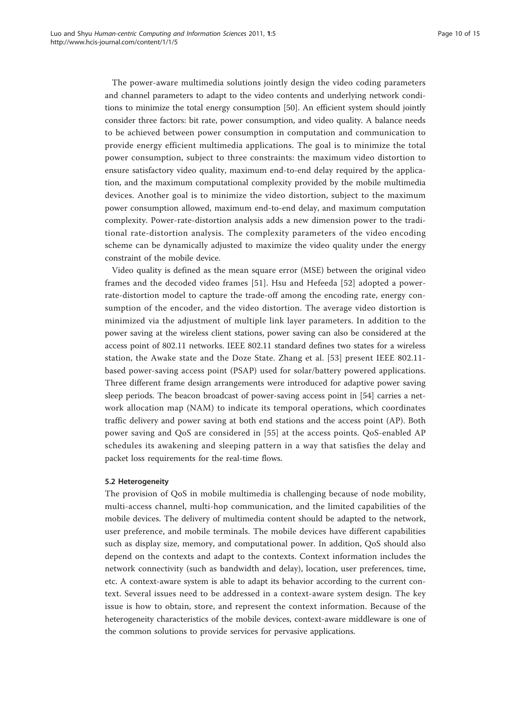The power-aware multimedia solutions jointly design the video coding parameters and channel parameters to adapt to the video contents and underlying network conditions to minimize the total energy consumption [\[50\]](#page-14-0). An efficient system should jointly consider three factors: bit rate, power consumption, and video quality. A balance needs to be achieved between power consumption in computation and communication to provide energy efficient multimedia applications. The goal is to minimize the total power consumption, subject to three constraints: the maximum video distortion to ensure satisfactory video quality, maximum end-to-end delay required by the application, and the maximum computational complexity provided by the mobile multimedia devices. Another goal is to minimize the video distortion, subject to the maximum power consumption allowed, maximum end-to-end delay, and maximum computation complexity. Power-rate-distortion analysis adds a new dimension power to the traditional rate-distortion analysis. The complexity parameters of the video encoding scheme can be dynamically adjusted to maximize the video quality under the energy constraint of the mobile device.

Video quality is defined as the mean square error (MSE) between the original video frames and the decoded video frames [\[51](#page-14-0)]. Hsu and Hefeeda [[52\]](#page-14-0) adopted a powerrate-distortion model to capture the trade-off among the encoding rate, energy consumption of the encoder, and the video distortion. The average video distortion is minimized via the adjustment of multiple link layer parameters. In addition to the power saving at the wireless client stations, power saving can also be considered at the access point of 802.11 networks. IEEE 802.11 standard defines two states for a wireless station, the Awake state and the Doze State. Zhang et al. [\[53\]](#page-14-0) present IEEE 802.11 based power-saving access point (PSAP) used for solar/battery powered applications. Three different frame design arrangements were introduced for adaptive power saving sleep periods. The beacon broadcast of power-saving access point in [[54\]](#page-14-0) carries a network allocation map (NAM) to indicate its temporal operations, which coordinates traffic delivery and power saving at both end stations and the access point (AP). Both power saving and QoS are considered in [\[55](#page-14-0)] at the access points. QoS-enabled AP schedules its awakening and sleeping pattern in a way that satisfies the delay and packet loss requirements for the real-time flows.

# 5.2 Heterogeneity

The provision of QoS in mobile multimedia is challenging because of node mobility, multi-access channel, multi-hop communication, and the limited capabilities of the mobile devices. The delivery of multimedia content should be adapted to the network, user preference, and mobile terminals. The mobile devices have different capabilities such as display size, memory, and computational power. In addition, QoS should also depend on the contexts and adapt to the contexts. Context information includes the network connectivity (such as bandwidth and delay), location, user preferences, time, etc. A context-aware system is able to adapt its behavior according to the current context. Several issues need to be addressed in a context-aware system design. The key issue is how to obtain, store, and represent the context information. Because of the heterogeneity characteristics of the mobile devices, context-aware middleware is one of the common solutions to provide services for pervasive applications.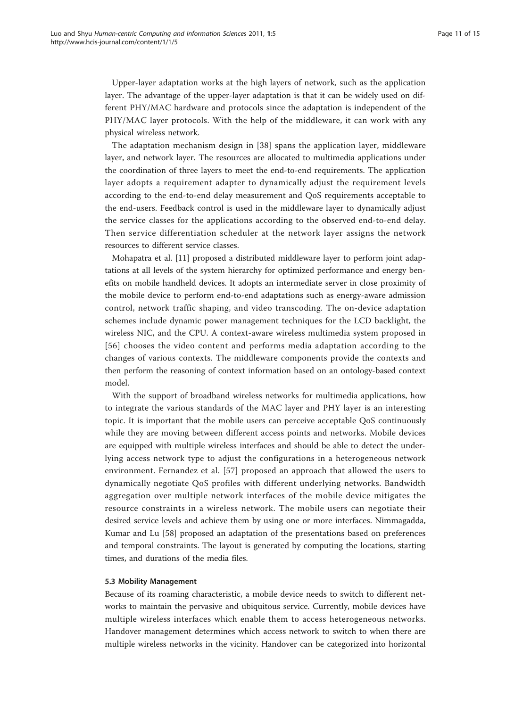Upper-layer adaptation works at the high layers of network, such as the application layer. The advantage of the upper-layer adaptation is that it can be widely used on different PHY/MAC hardware and protocols since the adaptation is independent of the PHY/MAC layer protocols. With the help of the middleware, it can work with any physical wireless network.

The adaptation mechanism design in [\[38\]](#page-13-0) spans the application layer, middleware layer, and network layer. The resources are allocated to multimedia applications under the coordination of three layers to meet the end-to-end requirements. The application layer adopts a requirement adapter to dynamically adjust the requirement levels according to the end-to-end delay measurement and QoS requirements acceptable to the end-users. Feedback control is used in the middleware layer to dynamically adjust the service classes for the applications according to the observed end-to-end delay. Then service differentiation scheduler at the network layer assigns the network resources to different service classes.

Mohapatra et al. [[11\]](#page-13-0) proposed a distributed middleware layer to perform joint adaptations at all levels of the system hierarchy for optimized performance and energy benefits on mobile handheld devices. It adopts an intermediate server in close proximity of the mobile device to perform end-to-end adaptations such as energy-aware admission control, network traffic shaping, and video transcoding. The on-device adaptation schemes include dynamic power management techniques for the LCD backlight, the wireless NIC, and the CPU. A context-aware wireless multimedia system proposed in [[56\]](#page-14-0) chooses the video content and performs media adaptation according to the changes of various contexts. The middleware components provide the contexts and then perform the reasoning of context information based on an ontology-based context model.

With the support of broadband wireless networks for multimedia applications, how to integrate the various standards of the MAC layer and PHY layer is an interesting topic. It is important that the mobile users can perceive acceptable QoS continuously while they are moving between different access points and networks. Mobile devices are equipped with multiple wireless interfaces and should be able to detect the underlying access network type to adjust the configurations in a heterogeneous network environment. Fernandez et al. [[57\]](#page-14-0) proposed an approach that allowed the users to dynamically negotiate QoS profiles with different underlying networks. Bandwidth aggregation over multiple network interfaces of the mobile device mitigates the resource constraints in a wireless network. The mobile users can negotiate their desired service levels and achieve them by using one or more interfaces. Nimmagadda, Kumar and Lu [\[58](#page-14-0)] proposed an adaptation of the presentations based on preferences and temporal constraints. The layout is generated by computing the locations, starting times, and durations of the media files.

#### 5.3 Mobility Management

Because of its roaming characteristic, a mobile device needs to switch to different networks to maintain the pervasive and ubiquitous service. Currently, mobile devices have multiple wireless interfaces which enable them to access heterogeneous networks. Handover management determines which access network to switch to when there are multiple wireless networks in the vicinity. Handover can be categorized into horizontal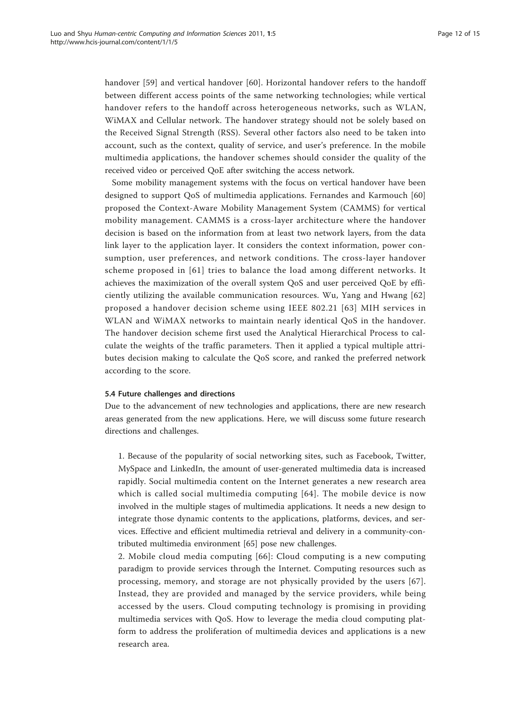handover [[59\]](#page-14-0) and vertical handover [\[60](#page-14-0)]. Horizontal handover refers to the handoff between different access points of the same networking technologies; while vertical handover refers to the handoff across heterogeneous networks, such as WLAN, WiMAX and Cellular network. The handover strategy should not be solely based on the Received Signal Strength (RSS). Several other factors also need to be taken into account, such as the context, quality of service, and user's preference. In the mobile multimedia applications, the handover schemes should consider the quality of the received video or perceived QoE after switching the access network.

Some mobility management systems with the focus on vertical handover have been designed to support QoS of multimedia applications. Fernandes and Karmouch [\[60](#page-14-0)] proposed the Context-Aware Mobility Management System (CAMMS) for vertical mobility management. CAMMS is a cross-layer architecture where the handover decision is based on the information from at least two network layers, from the data link layer to the application layer. It considers the context information, power consumption, user preferences, and network conditions. The cross-layer handover scheme proposed in [\[61](#page-14-0)] tries to balance the load among different networks. It achieves the maximization of the overall system QoS and user perceived QoE by efficiently utilizing the available communication resources. Wu, Yang and Hwang [[62](#page-14-0)] proposed a handover decision scheme using IEEE 802.21 [[63](#page-14-0)] MIH services in WLAN and WiMAX networks to maintain nearly identical QoS in the handover. The handover decision scheme first used the Analytical Hierarchical Process to calculate the weights of the traffic parameters. Then it applied a typical multiple attributes decision making to calculate the QoS score, and ranked the preferred network according to the score.

#### 5.4 Future challenges and directions

Due to the advancement of new technologies and applications, there are new research areas generated from the new applications. Here, we will discuss some future research directions and challenges.

1. Because of the popularity of social networking sites, such as Facebook, Twitter, MySpace and LinkedIn, the amount of user-generated multimedia data is increased rapidly. Social multimedia content on the Internet generates a new research area which is called social multimedia computing [[64\]](#page-14-0). The mobile device is now involved in the multiple stages of multimedia applications. It needs a new design to integrate those dynamic contents to the applications, platforms, devices, and services. Effective and efficient multimedia retrieval and delivery in a community-contributed multimedia environment [\[65\]](#page-14-0) pose new challenges.

2. Mobile cloud media computing [[66\]](#page-14-0): Cloud computing is a new computing paradigm to provide services through the Internet. Computing resources such as processing, memory, and storage are not physically provided by the users [[67](#page-14-0)]. Instead, they are provided and managed by the service providers, while being accessed by the users. Cloud computing technology is promising in providing multimedia services with QoS. How to leverage the media cloud computing platform to address the proliferation of multimedia devices and applications is a new research area.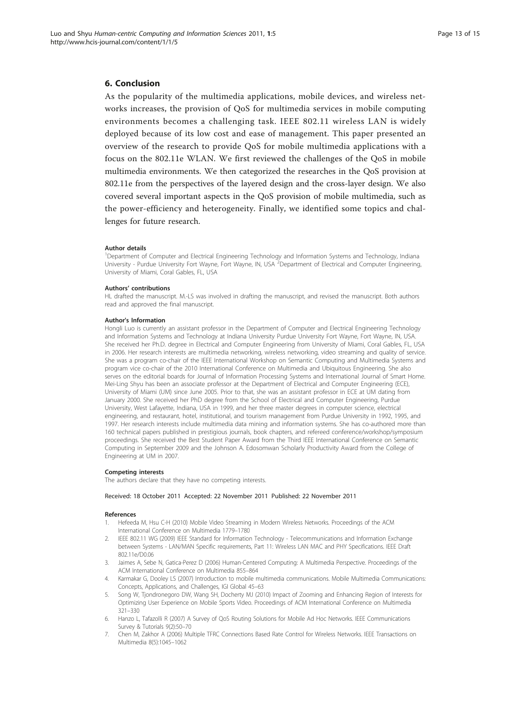#### <span id="page-12-0"></span>6. Conclusion

As the popularity of the multimedia applications, mobile devices, and wireless networks increases, the provision of QoS for multimedia services in mobile computing environments becomes a challenging task. IEEE 802.11 wireless LAN is widely deployed because of its low cost and ease of management. This paper presented an overview of the research to provide QoS for mobile multimedia applications with a focus on the 802.11e WLAN. We first reviewed the challenges of the QoS in mobile multimedia environments. We then categorized the researches in the QoS provision at 802.11e from the perspectives of the layered design and the cross-layer design. We also covered several important aspects in the QoS provision of mobile multimedia, such as the power-efficiency and heterogeneity. Finally, we identified some topics and challenges for future research.

#### Author details

<sup>1</sup>Department of Computer and Electrical Engineering Technology and Information Systems and Technology, Indiana University - Purdue University Fort Wayne, Fort Wayne, IN, USA<sup>2</sup>Department of Electrical and Computer Engineering, University of Miami, Coral Gables, FL, USA

#### Authors' contributions

HL drafted the manuscript. M.-LS was involved in drafting the manuscript, and revised the manuscript. Both authors read and approved the final manuscript.

#### Author's Information

Hongli Luo is currently an assistant professor in the Department of Computer and Electrical Engineering Technology and Information Systems and Technology at Indiana University Purdue University Fort Wayne, Fort Wayne, IN, USA. She received her Ph.D. degree in Electrical and Computer Engineering from University of Miami, Coral Gables, FL, USA in 2006. Her research interests are multimedia networking, wireless networking, video streaming and quality of service. She was a program co-chair of the IEEE International Workshop on Semantic Computing and Multimedia Systems and program vice co-chair of the 2010 International Conference on Multimedia and Ubiquitous Engineering. She also serves on the editorial boards for Journal of Information Processing Systems and International Journal of Smart Home. Mei-Ling Shyu has been an associate professor at the Department of Electrical and Computer Engineering (ECE), University of Miami (UM) since June 2005. Prior to that, she was an assistant professor in ECE at UM dating from January 2000. She received her PhD degree from the School of Electrical and Computer Engineering, Purdue University, West Lafayette, Indiana, USA in 1999, and her three master degrees in computer science, electrical engineering, and restaurant, hotel, institutional, and tourism management from Purdue University in 1992, 1995, and 1997. Her research interests include multimedia data mining and information systems. She has co-authored more than 160 technical papers published in prestigious journals, book chapters, and refereed conference/workshop/symposium proceedings. She received the Best Student Paper Award from the Third IEEE International Conference on Semantic Computing in September 2009 and the Johnson A. Edosomwan Scholarly Productivity Award from the College of Engineering at UM in 2007.

#### Competing interests

The authors declare that they have no competing interests.

#### Received: 18 October 2011 Accepted: 22 November 2011 Published: 22 November 2011

#### References

- 1. Hefeeda M, Hsu C-H (2010) Mobile Video Streaming in Modern Wireless Networks. Proceedings of the ACM International Conference on Multimedia 1779–1780
- 2. IEEE 802.11 WG (2009) IEEE Standard for Information Technology Telecommunications and Information Exchange between Systems - LAN/MAN Specific requirements, Part 11: Wireless LAN MAC and PHY Specifications. IEEE Draft 802.11e/D0.06
- 3. Jaimes A, Sebe N, Gatica-Perez D (2006) Human-Centered Computing: A Multimedia Perspective. Proceedings of the ACM International Conference on Multimedia 855–864
- 4. Karmakar G, Dooley LS (2007) Introduction to mobile multimedia communications. Mobile Multimedia Communications: Concepts, Applications, and Challenges, IGI Global 45–63
- 5. Song W, Tjondronegoro DW, Wang SH, Docherty MJ (2010) Impact of Zooming and Enhancing Region of Interests for Optimizing User Experience on Mobile Sports Video. Proceedings of ACM International Conference on Multimedia 321–330
- 6. Hanzo L, Tafazolli R (2007) A Survey of QoS Routing Solutions for Mobile Ad Hoc Networks. IEEE Communications Survey & Tutorials 9(2):50–70
- 7. Chen M, Zakhor A (2006) Multiple TFRC Connections Based Rate Control for Wireless Networks. IEEE Transactions on Multimedia 8(5):1045–1062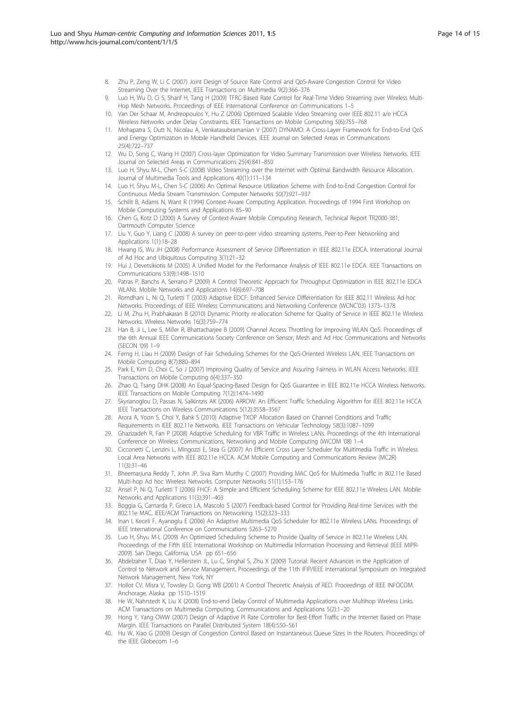- <span id="page-13-0"></span>8. Zhu P, Zeng W, Li C (2007) Joint Design of Source Rate Control and QoS-Aware Congestion Control for Video Streaming Over the Internet. IEEE Transactions on Multimedia 9(2):366–376
- 9. Luo H, Wu D, Ci S, Sharif H, Tang H (2009) TFRC-Based Rate Control for Real-Time Video Streaming over Wireless Multi-Hop Mesh Networks. Proceedings of IEEE International Conference on Communications 1–5
- 10. Van Der Schaar M, Andreopoulos Y, Hu Z (2006) Optimized Scalable Video Streaming over IEEE 802.11 a/e HCCA Wireless Networks under Delay Constraints. IEEE Transactions on Mobile Computing 5(6):755–768
- 11. Mohapatra S, Dutt N, Nicolau A, Venkatasubramanian V (2007) DYNAMO: A Cross-Layer Framework for End-to-End QoS and Energy Optimization in Mobile Handheld Devices. IEEE Journal on Selected Areas in Communications 25(4):722–737
- 12. Wu D, Song C, Wang H (2007) Cross-layer Optimization for Video Summary Transmission over Wireless Networks. IEEE Journal on Selected Areas in Communications 25(4):841–850
- 13. Luo H, Shyu M-L, Chen S-C (2008) Video Streaming over the Internet with Optimal Bandwidth Resource Allocation. Journal of Multimedia Tools and Applications 40(1):111–134
- 14. Luo H, Shyu M-L, Chen S-C (2006) An Optimal Resource Utilization Scheme with End-to-End Congestion Control for Continuous Media Stream Transmission. Computer Networks 50(7):921–937
- 15. Schilit B, Adams N, Want R (1994) Context-Aware Computing Application. Proceedings of 1994 First Workshop on Mobile Computing Systems and Applications 85–90
- 16. Chen G, Kotz D (2000) A Survey of Context-Aware Mobile Computing Research, Technical Report TR2000-381, Dartmouth Computer Science
- 17. Liu Y, Guo Y, Liang C (2008) A survey on peer-to-peer video streaming systems. Peer-to-Peer Networking and Applications 1(1):18–28
- 18. Hwang IS, Wu JH (2008) Performance Assessment of Service Differentiation in IEEE 802.11e EDCA. International Journal of Ad Hoc and Ubiquitous Computing 3(1):21–32
- 19. Hui J, Devetsikiotis M (2005) A Unified Model for the Performance Analysis of IEEE 802.11e EDCA. IEEE Transactions on Communications 53(9):1498–1510
- 20. Patras P, Banchs A, Serrano P (2009) A Control Theoretic Approach for Throughput Optimization in IEEE 802.11e EDCA WLANs. Mobile Networks and Applications 14(6):697–708
- 21. Romdhani L, Ni Q, Turletti T (2003) Adaptive EDCF: Enhanced Service Differentiation for IEEE 802.11 Wireless Ad-hoc Networks. Proceedings of IEEE Wireless Communications and Networking Conference (WCNC'03) 1373–1378
- 22. Li M, Zhu H, Prabhakaran B (2010) Dynamic Priority re-allocation Scheme for Quality of Service in IEEE 802.11e Wireless Networks. Wireless Networks 16(3):759–774
- 23. Han B, Ji L, Lee S, Miller R, Bhattacharjee B (2009) Channel Access Throttling for Improving WLAN QoS. Proceedings of the 6th Annual IEEE Communications Society Conference on Sensor, Mesh and Ad Hoc Communications and Networks (SECON '09) 1–9
- 24. Ferng H, Liau H (2009) Design of Fair Scheduling Schemes for the QoS-Oriented Wireless LAN. IEEE Transactions on Mobile Computing 8(7):880–894
- 25. Park E, Kim D, Choi C, So J (2007) Improving Quality of Service and Assuring Fairness in WLAN Access Networks. IEEE Transactions on Mobile Computing 6(4):337–350
- 26. Zhao Q, Tsang DHK (2008) An Equal-Spacing-Based Design for QoS Guarantee in IEEE 802.11e HCCA Wireless Networks. IEEE Transactions on Mobile Computing 7(12):1474–1490
- 27. Skyrianoglou D, Passas N, Salkintzis AK (2006) ARROW: An Efficient Traffic Scheduling Algorithm for IEEE 802.11e HCCA. IEEE Transactions on Wireless Communications 5(12):3558–3567
- 28. Arora A, Yoon S, Choi Y, Bahk S (2010) Adaptive TXOP Allocation Based on Channel Conditions and Traffic Requirements in IEEE 802.11e Networks. IEEE Transactions on Vehicular Technology 58(3):1087–1099
- 29. Ghazizadeh R, Fan P (2008) Adaptive Scheduling for VBR Traffic in Wireless LANs. Proceedings of the 4th International Conference on Wireless Communications, Networking and Mobile Computing (WiCOM '08) 1–4
- 30. Cicconetti C, Lenzini L, Mingozzi E, Stea G (2007) An Efficient Cross Layer Scheduler for Multimedia Traffic in Wireless Local Area Networks with IEEE 802.11e HCCA. ACM Mobile Computing and Communications Review (MC2R) 11(3):31–46
- 31. Bheemarjuna Reddy T, John JP, Siva Ram Murthy C (2007) Providing MAC QoS for Multimedia Traffic in 802.11e Based Multi-hop Ad hoc Wireless Networks. Computer Networks 51(1):153–176
- 32. Ansel P, Ni Q, Turletti T (2006) FHCF: A Simple and Efficient Scheduling Scheme for IEEE 802.11e Wireless LAN. Mobile Networks and Applications 11(3):391–403
- 33. Boggia G, Camarda P, Grieco LA, Mascolo S (2007) Feedback-based Control for Providing Real-time Services with the 802.11e MAC. IEEE/ACM Transactions on Networking 15(2):323–333
- 34. Inan I, Keceli F, Ayanoglu E (2006) An Adaptive Multimedia QoS Scheduler for 802.11e Wireless LANs. Proceedings of IEEE International Conference on Communications 5263–5270
- 35. Luo H, Shyu M-L (2009) An Optimized Scheduling Scheme to Provide Quality of Service in 802.11e Wireless LAN. Proceedings of the Fifth IEEE International Workshop on Multimedia Information Processing and Retrieval (IEEE MIPR-2009). San Diego, California, USA pp 651–656
- 36. Abdelzaher T, Diao Y, Hellerstein JL, Lu C, Singhal S, Zhu X (2009) Tutorial: Recent Advances in the Application of Control to Network and Service Management. Proceedings of the 11th IFIP/IEEE International Symposium on Integrated Network Management, New York, NY
- 37. Hollot CV, Misra V, Towsley D, Gong WB (2001) A Control Theoretic Analysis of RED. Proceedings of IEEE INFOCOM. Anchorage, Alaska pp 1510–1519
- 38. He W, Nahrstedt K, Liu X (2008) End-to-end Delay Control of Multimedia Applications over Multihop Wireless Links. ACM Transactions on Multimedia Computing, Communications and Applications 5(2):1–20
- 39. Hong Y, Yang OWW (2007) Design of Adaptive PI Rate Controller for Best-Effort Traffic in the Internet Based on Phase Margin. IEEE Transactions on Parallel Distributed System 18(4):550–561
- 40. Hu W, Xiao G (2009) Design of Congestion Control Based on Instantaneous Queue Sizes in the Routers. Proceedings of the IEEE Globecom 1–6